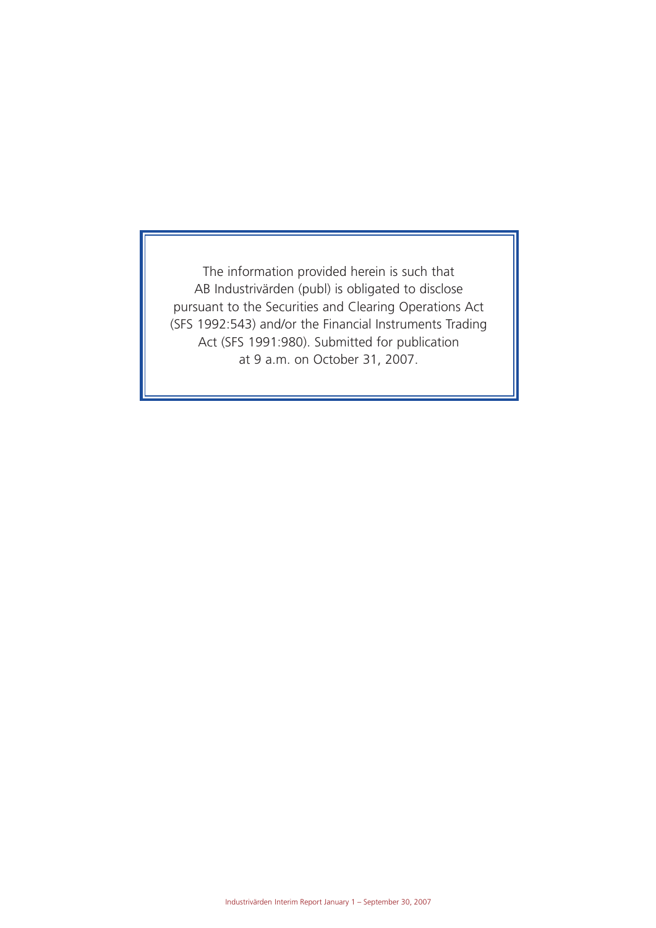The information provided herein is such that AB Industrivärden (publ) is obligated to disclose pursuant to the Securities and Clearing Operations Act (SFS 1992:543) and/or the Financial Instruments Trading Act (SFS 1991:980). Submitted for publication at 9 a.m. on October 31, 2007.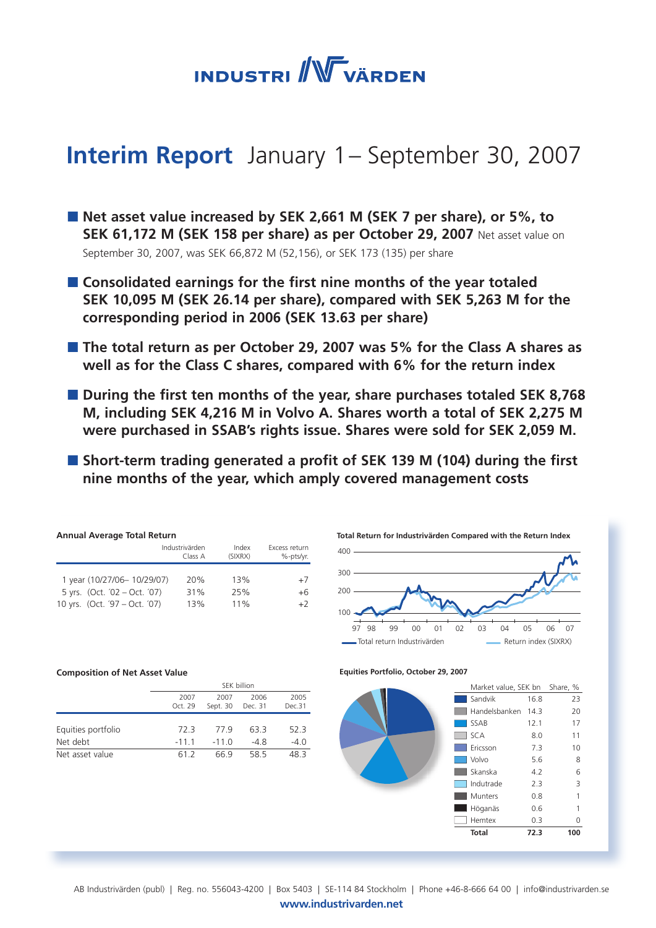

# **Interim Report** January 1 – September 30, 2007

- Net asset value increased by SEK 2,661 M (SEK 7 per share), or 5%, to **SEK 61,172 M (SEK 158 per share) as per October 29, 2007** Net asset value on September 30, 2007, was SEK 66,872 M (52,156), or SEK 173 (135) per share
- Consolidated earnings for the first nine months of the year totaled **SEK 10,095 M (SEK 26.14 per share), compared with SEK 5,263 M for the corresponding period in 2006 (SEK 13.63 per share)**
- The total return as per October 29, 2007 was 5% for the Class A shares as **well as for the Class C shares, compared with 6% for the return index**
- During the first ten months of the year, share purchases totaled SEK 8,768 **M, including SEK 4,216 M in Volvo A. Shares worth a total of SEK 2,275 M were purchased in SSAB's rights issue. Shares were sold for SEK 2,059 M.**
- Short-term trading generated a profit of SEK 139 M (104) during the first **nine months of the year, which amply covered management costs**

| <b>Annual Average Total Return</b> |                           |                  |                            |  |  |  |  |  |  |  |
|------------------------------------|---------------------------|------------------|----------------------------|--|--|--|--|--|--|--|
|                                    | Industrivärden<br>Class A | Index<br>(SIXRX) | Excess return<br>%-pts/yr. |  |  |  |  |  |  |  |
|                                    |                           |                  |                            |  |  |  |  |  |  |  |
| 1 year (10/27/06-10/29/07)         | 20%                       | 13%              | $+7$                       |  |  |  |  |  |  |  |
| 5 yrs. (Oct. '02 - Oct. '07)       | 31%                       | 25%              | $+6$                       |  |  |  |  |  |  |  |
| 10 yrs. (Oct. '97 - Oct. '07)      | 13%                       | 11%              | $+2$                       |  |  |  |  |  |  |  |

#### **Composition of Net Asset Value**

|                    | SEK billion     |                  |                 |                |  |  |  |
|--------------------|-----------------|------------------|-----------------|----------------|--|--|--|
|                    | 2007<br>Oct. 29 | 2007<br>Sept. 30 | 2006<br>Dec. 31 | 2005<br>Dec.31 |  |  |  |
| Equities portfolio | 72 3            | 779              | 63.3            | 52.3           |  |  |  |
| Net debt           | $-1111$         | $-110$           | -48             | $-4.0$         |  |  |  |
| Net asset value    | 61 2            | 66 9             | 58.5            | 48 R           |  |  |  |



#### **Equities Portfolio, October 29, 2007**



www.industrivarden.net AB Industrivärden (publ) | Reg. no. 556043-4200 | Box 5403 | SE-114 84 Stockholm | Phone +46-8-666 64 00 | info@industrivarden.se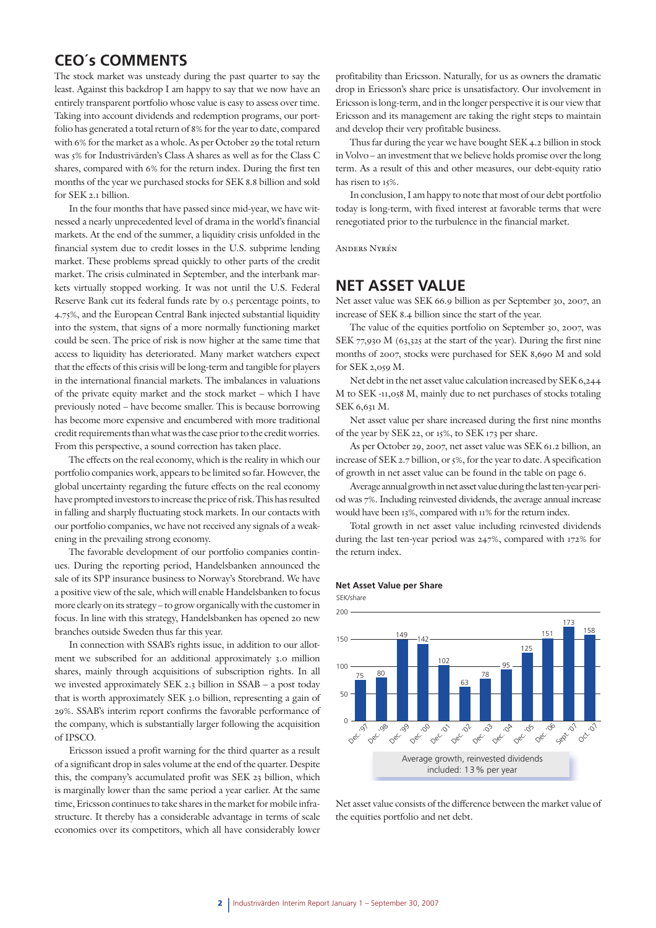# **CEO´s COMMENTS**

The stock market was unsteady during the past quarter to say the least. Against this backdrop I am happy to say that we now have an entirely transparent portfolio whose value is easy to assess over time. Taking into account dividends and redemption programs, our portfolio has generated a total return of 8% for the year to date, compared with 6% for the market as a whole. As per October 29 the total return was 5% for Industrivärden's Class A shares as well as for the Class C shares, compared with 6% for the return index. During the first ten months of the year we purchased stocks for SEK 8.8 billion and sold for SEK 2.1 billion.

In the four months that have passed since mid-year, we have witnessed a nearly unprecedented level of drama in the world's financial markets. At the end of the summer, a liquidity crisis unfolded in the financial system due to credit losses in the U.S. subprime lending market. These problems spread quickly to other parts of the credit market. The crisis culminated in September, and the interbank markets virtually stopped working. It was not until the U.S. Federal Reserve Bank cut its federal funds rate by 0.5 percentage points, to 4.75%, and the European Central Bank injected substantial liquidity into the system, that signs of a more normally functioning market could be seen. The price of risk is now higher at the same time that access to liquidity has deteriorated. Many market watchers expect that the effects of this crisis will be long-term and tangible for players in the international financial markets. The imbalances in valuations of the private equity market and the stock market – which I have previously noted – have become smaller. This is because borrowing has become more expensive and encumbered with more traditional credit requirements than what was the case prior to the credit worries. From this perspective, a sound correction has taken place.

The effects on the real economy, which is the reality in which our portfolio companies work, appears to be limited so far. However, the global uncertainty regarding the future effects on the real economy have prompted investors to increase the price of risk. This has resulted in falling and sharply fluctuating stock markets. In our contacts with our portfolio companies, we have not received any signals of a weakening in the prevailing strong economy.

The favorable development of our portfolio companies continues. During the reporting period, Handelsbanken announced the sale of its SPP insurance business to Norway's Storebrand. We have a positive view of the sale, which will enable Handelsbanken to focus more clearly on its strategy – to grow organically with the customer in focus. In line with this strategy, Handelsbanken has opened 20 new branches outside Sweden thus far this year.

In connection with SSAB's rights issue, in addition to our allotment we subscribed for an additional approximately 3.0 million shares, mainly through acquisitions of subscription rights. In all we invested approximately SEK 2.3 billion in SSAB – a post today that is worth approximately SEK 3.0 billion, representing a gain of 29%. SSAB's interim report confirms the favorable performance of the company, which is substantially larger following the acquisition of IPSCO.

Ericsson issued a profit warning for the third quarter as a result of a significant drop in sales volume at the end of the quarter. Despite this, the company's accumulated profit was SEK 23 billion, which is marginally lower than the same period a year earlier. At the same time, Ericsson continues to take shares in the market for mobile infrastructure. It thereby has a considerable advantage in terms of scale economies over its competitors, which all have considerably lower

profitability than Ericsson. Naturally, for us as owners the dramatic drop in Ericsson's share price is unsatisfactory. Our involvement in Ericsson is long-term, and in the longer perspective it is our view that Ericsson and its management are taking the right steps to maintain and develop their very profitable business.

Thus far during the year we have bought SEK 4.2 billion in stock in Volvo – an investment that we believe holds promise over the long term. As a result of this and other measures, our debt-equity ratio has risen to 15%.

In conclusion, I am happy to note that most of our debt portfolio today is long-term, with fixed interest at favorable terms that were renegotiated prior to the turbulence in the financial market.

Anders Nyrén

# **NET ASSET VALUE**

Net asset value was SEK 66.9 billion as per September 30, 2007, an increase of SEK 8.4 billion since the start of the year.

The value of the equities portfolio on September 30, 2007, was SEK 77,930 M (63,325 at the start of the year). During the first nine months of 2007, stocks were purchased for SEK 8,690 M and sold for SEK 2,059 M.

Net debt in the net asset value calculation increased by SEK 6,244 M to SEK -11,058 M, mainly due to net purchases of stocks totaling SEK 6,631 M.

Net asset value per share increased during the first nine months of the year by SEK 22, or 15%, to SEK 173 per share.

As per October 29, 2007, net asset value was SEK 61.2 billion, an increase of SEK 2.7 billion, or 5%, for the year to date. A specification of growth in net asset value can be found in the table on page 6.

Average annual growth in net asset value during the last ten-year period was 7%. Including reinvested dividends, the average annual increase would have been 13%, compared with 11% for the return index.

Total growth in net asset value including reinvested dividends during the last ten-year period was 247%, compared with 172% for the return index.

#### **Net Asset Value per Share**



Net asset value consists of the difference between the market value of the equities portfolio and net debt.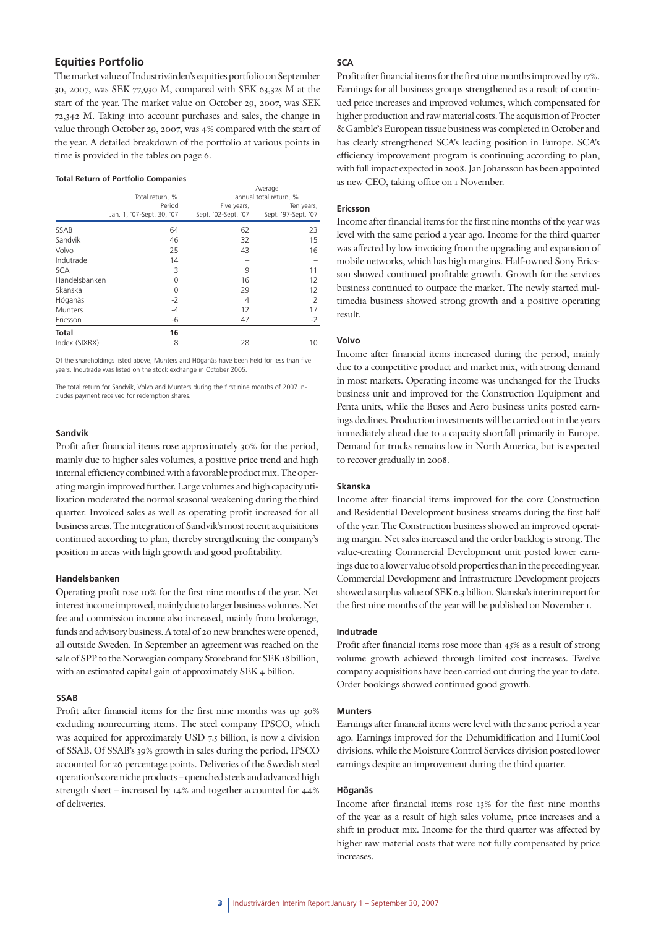### **Equities Portfolio**

The market value of Industrivärden's equities portfolio on September 30, 2007, was SEK 77,930 M, compared with SEK 63,325 M at the start of the year. The market value on October 29, 2007, was SEK 72,342 M. Taking into account purchases and sales, the change in value through October 29, 2007, was 4% compared with the start of the year. A detailed breakdown of the portfolio at various points in time is provided in the tables on page 6.

#### **Total Return of Portfolio Companies**

|               |                           | Average             |                        |  |  |  |  |
|---------------|---------------------------|---------------------|------------------------|--|--|--|--|
|               | Total return, %           |                     | annual total return, % |  |  |  |  |
|               | Period                    | Five years,         | Ten years,             |  |  |  |  |
|               | Jan. 1, '07-Sept. 30, '07 | Sept. '02-Sept. '07 | Sept. '97-Sept. '07    |  |  |  |  |
| SSAB          | 64                        | 62                  | 23                     |  |  |  |  |
| Sandvik       | 46                        | 32                  | 15                     |  |  |  |  |
| Volvo         | 25                        | 43                  | 16                     |  |  |  |  |
| Indutrade     | 14                        |                     |                        |  |  |  |  |
| <b>SCA</b>    | 3                         | 9                   | 11                     |  |  |  |  |
| Handelsbanken | 0                         | 16                  | 12                     |  |  |  |  |
| Skanska       | 0                         | 29                  | 12                     |  |  |  |  |
| Höganäs       | $-2$                      | 4                   | 2                      |  |  |  |  |
| Munters       | -4                        | 12                  | 17                     |  |  |  |  |
| Ericsson      | -6                        | 47                  | $-2$                   |  |  |  |  |
| <b>Total</b>  | 16                        |                     |                        |  |  |  |  |
| Index (SIXRX) | 8                         | 28                  | 10                     |  |  |  |  |

Of the shareholdings listed above, Munters and Höganäs have been held for less than five years. Indutrade was listed on the stock exchange in October 2005.

The total return for Sandvik, Volvo and Munters during the first nine months of 2007 includes payment received for redemption shares.

#### **Sandvik**

Profit after financial items rose approximately 30% for the period, mainly due to higher sales volumes, a positive price trend and high internal efficiency combined with a favorable product mix. The operating margin improved further. Large volumes and high capacity utilization moderated the normal seasonal weakening during the third quarter. Invoiced sales as well as operating profit increased for all business areas. The integration of Sandvik's most recent acquisitions continued according to plan, thereby strengthening the company's position in areas with high growth and good profitability.

#### **Handelsbanken**

Operating profit rose 10% for the first nine months of the year. Net interest income improved, mainly due to larger business volumes. Net fee and commission income also increased, mainly from brokerage, funds and advisory business. A total of 20 new branches were opened, all outside Sweden. In September an agreement was reached on the sale of SPP to the Norwegian company Storebrand for SEK 18 billion, with an estimated capital gain of approximately SEK 4 billion.

#### **SSAB**

Profit after financial items for the first nine months was up 30% excluding nonrecurring items. The steel company IPSCO, which was acquired for approximately USD 7.5 billion, is now a division of SSAB. Of SSAB's 39% growth in sales during the period, IPSCO accounted for 26 percentage points. Deliveries of the Swedish steel operation's core niche products – quenched steels and advanced high strength sheet – increased by 14% and together accounted for 44% of deliveries.

### **SCA**

Profit after financial items for the first nine months improved by 17%. Earnings for all business groups strengthened as a result of continued price increases and improved volumes, which compensated for higher production and raw material costs. The acquisition of Procter & Gamble's European tissue business was completed in October and has clearly strengthened SCA's leading position in Europe. SCA's efficiency improvement program is continuing according to plan, with full impact expected in 2008. Jan Johansson has been appointed as new CEO, taking office on 1 November.

#### **Ericsson**

Income after financial items for the first nine months of the year was level with the same period a year ago. Income for the third quarter was affected by low invoicing from the upgrading and expansion of mobile networks, which has high margins. Half-owned Sony Ericsson showed continued profitable growth. Growth for the services business continued to outpace the market. The newly started multimedia business showed strong growth and a positive operating result.

#### **Volvo**

Income after financial items increased during the period, mainly due to a competitive product and market mix, with strong demand in most markets. Operating income was unchanged for the Trucks business unit and improved for the Construction Equipment and Penta units, while the Buses and Aero business units posted earnings declines. Production investments will be carried out in the years immediately ahead due to a capacity shortfall primarily in Europe. Demand for trucks remains low in North America, but is expected to recover gradually in 2008.

#### **Skanska**

Income after financial items improved for the core Construction and Residential Development business streams during the first half of the year. The Construction business showed an improved operating margin. Net sales increased and the order backlog is strong. The value-creating Commercial Development unit posted lower earnings due to a lower value of sold properties than in the preceding year. Commercial Development and Infrastructure Development projects showed a surplus value of SEK 6.3 billion. Skanska's interim report for the first nine months of the year will be published on November 1.

#### **Indutrade**

Profit after financial items rose more than 45% as a result of strong volume growth achieved through limited cost increases. Twelve company acquisitions have been carried out during the year to date. Order bookings showed continued good growth.

#### **Munters**

Earnings after financial items were level with the same period a year ago. Earnings improved for the Dehumidification and HumiCool divisions, while the Moisture Control Services division posted lower earnings despite an improvement during the third quarter.

#### **Höganäs**

Income after financial items rose 13% for the first nine months of the year as a result of high sales volume, price increases and a shift in product mix. Income for the third quarter was affected by higher raw material costs that were not fully compensated by price increases.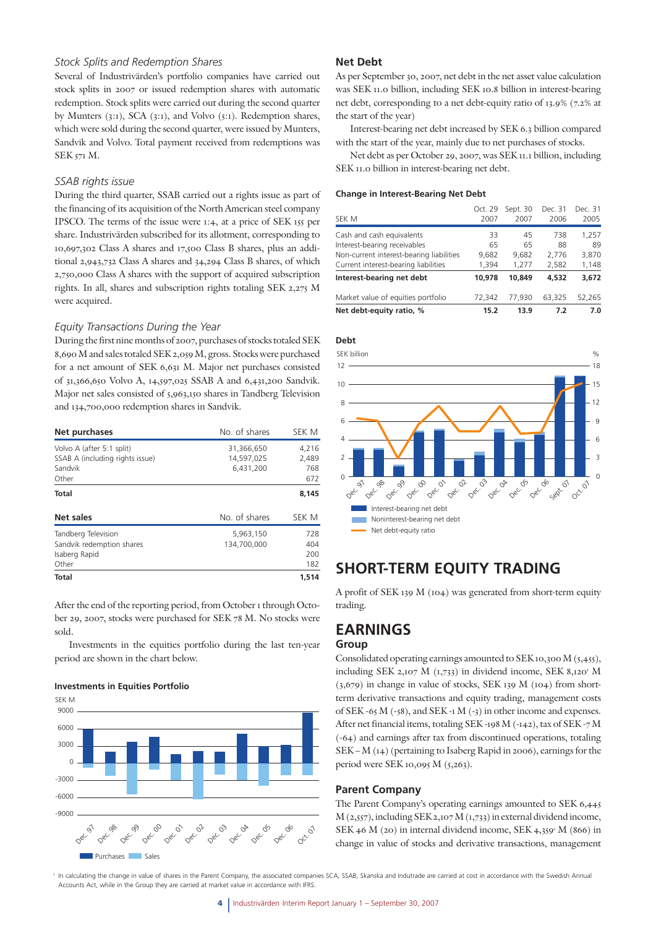#### *Stock Splits and Redemption Shares*

Several of Industrivärden's portfolio companies have carried out stock splits in 2007 or issued redemption shares with automatic redemption. Stock splits were carried out during the second quarter by Munters (3:1), SCA (3:1), and Volvo (5:1). Redemption shares, which were sold during the second quarter, were issued by Munters, Sandvik and Volvo. Total payment received from redemptions was SEK 571 M.

#### *SSAB rights issue*

During the third quarter, SSAB carried out a rights issue as part of the financing of its acquisition of the North American steel company IPSCO. The terms of the issue were 1:4, at a price of SEK 155 per share. Industrivärden subscribed for its allotment, corresponding to 10,697,302 Class A shares and 17,500 Class B shares, plus an additional 2,943,732 Class A shares and 34,294 Class B shares, of which 2,750,000 Class A shares with the support of acquired subscription rights. In all, shares and subscription rights totaling SEK 2,275 M were acquired.

#### *Equity Transactions During the Year*

During the first nine months of 2007, purchases of stocks totaled SEK 8,690 M and sales totaled SEK 2,059 M, gross. Stocks were purchased for a net amount of SEK 6,631 M. Major net purchases consisted of 31,366,650 Volvo A, 14,597,025 SSAB A and 6,431,200 Sandvik. Major net sales consisted of 5,963,150 shares in Tandberg Television and 134,700,000 redemption shares in Sandvik.

| Net purchases                                                                    | No. of shares                         | SEK M                        |
|----------------------------------------------------------------------------------|---------------------------------------|------------------------------|
| Volvo A (after 5:1 split)<br>SSAB A (including rights issue)<br>Sandvik<br>Other | 31,366,650<br>14,597,025<br>6,431,200 | 4,216<br>2,489<br>768<br>672 |
| Total                                                                            |                                       | 8.145                        |
| Net sales                                                                        | No. of shares                         | SEK M                        |
| Tandberg Television<br>Sandvik redemption shares<br>Isaberg Rapid<br>Other       | 5,963,150<br>134,700,000              | 728<br>404<br>200<br>182     |
| <b>Total</b>                                                                     |                                       | 1,514                        |

After the end of the reporting period, from October 1 through October 29, 2007, stocks were purchased for SEK 78 M. No stocks were sold.

Investments in the equities portfolio during the last ten-year period are shown in the chart below.

#### **Investments in Equities Portfolio**



### **Net Debt**

As per September 30, 2007, net debt in the net asset value calculation was SEK 11.0 billion, including SEK 10.8 billion in interest-bearing net debt, corresponding to a net debt-equity ratio of 13.9% (7.2% at the start of the year)

Interest-bearing net debt increased by SEK 6.3 billion compared with the start of the year, mainly due to net purchases of stocks.

Net debt as per October 29, 2007, was SEK 11.1 billion, including SEK 11.0 billion in interest-bearing net debt.

#### **Change in Interest-Bearing Net Debt**

| Net debt-equity ratio, %                 | 15.2    | 13.9     | 7.2     | 7.0     |
|------------------------------------------|---------|----------|---------|---------|
| Market value of equities portfolio       | 72,342  | 77.930   | 63.325  | 52.265  |
| Interest-bearing net debt                | 10,978  | 10,849   | 4,532   | 3,672   |
| Current interest-bearing liabilities     | 1,394   | 1.277    | 2,582   | 1,148   |
| Non-current interest-bearing liabilities | 9,682   | 9,682    | 2,776   | 3,870   |
| Interest-bearing receivables             | 65      | 65       | 88      | 89      |
| Cash and cash equivalents                | 33      | 45       | 738     | 1,257   |
| SEK M                                    | 2007    | 2007     | 2006    | 2005    |
|                                          | Oct. 29 | Sept. 30 | Dec. 31 | Dec. 31 |

#### **Debt**



# **SHORT-TERM EQUITY TRADING**

A profit of SEK 139 M (104) was generated from short-term equity trading.

# **EARNINGS**

# **Group**

Consolidated operating earnings amounted to SEK 10,300 M (5,455), including SEK 2,107 M  $(1,733)$  in dividend income, SEK 8,120<sup>1</sup> M (3,679) in change in value of stocks, SEK 139 M (104) from shortterm derivative transactions and equity trading, management costs of SEK -65 M  $(-58)$ , and SEK -1 M  $(-3)$  in other income and expenses. After net financial items, totaling SEK -198 M (-142), tax of SEK -7 M (-64) and earnings after tax from discontinued operations, totaling SEK – M (14) (pertaining to Isaberg Rapid in 2006), earnings for the period were SEK 10,095 M (5,263).

#### **Parent Company**

The Parent Company's operating earnings amounted to SEK 6,445  $M$  (2,557), including SEK 2,107  $M$  (1,733) in external dividend income, SEK 46 M (20) in internal dividend income, SEK 4,359 $^{\circ}$  M (866) in change in value of stocks and derivative transactions, management

<sup>1</sup> In calculating the change in value of shares in the Parent Company, the associated companies SCA, SSAB, Skanska and Indutrade are carried at cost in accordance with the Swedish Annual Accounts Act, while in the Group they are carried at market value in accordance with IFRS.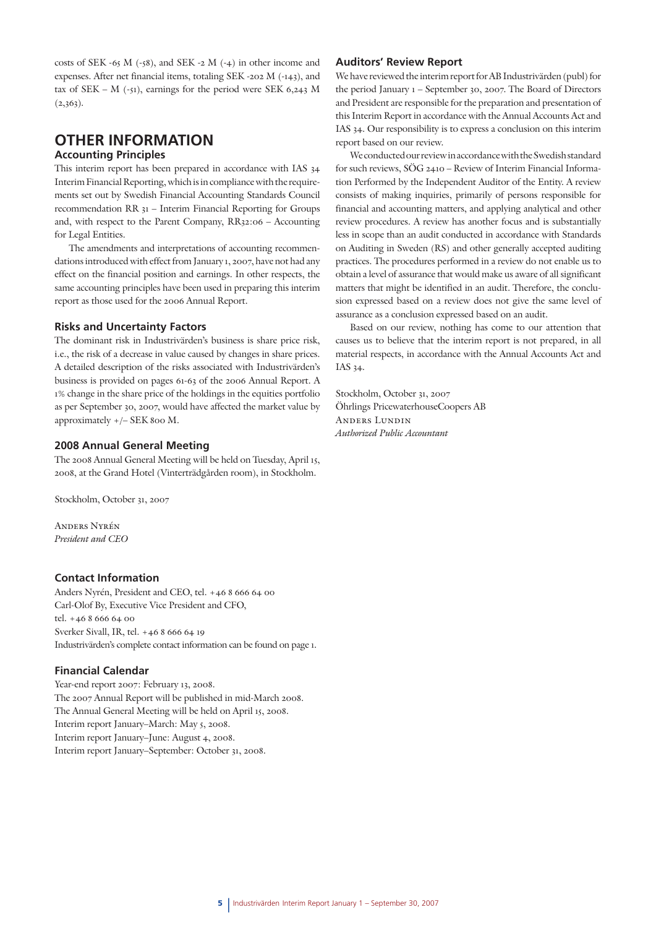costs of SEK -65 M (-58), and SEK -2 M (-4) in other income and expenses. After net financial items, totaling SEK -202 M (-143), and tax of SEK – M (-51), earnings for the period were SEK 6,243 M  $(2,363)$ .

# **OTHER INFORMATION**

### **Accounting Principles**

This interim report has been prepared in accordance with IAS 34 Interim Financial Reporting, which is in compliance with the requirements set out by Swedish Financial Accounting Standards Council recommendation RR 31 – Interim Financial Reporting for Groups and, with respect to the Parent Company, RR32:06 – Accounting for Legal Entities.

The amendments and interpretations of accounting recommendations introduced with effect from January 1, 2007, have not had any effect on the financial position and earnings. In other respects, the same accounting principles have been used in preparing this interim report as those used for the 2006 Annual Report.

#### **Risks and Uncertainty Factors**

The dominant risk in Industrivärden's business is share price risk, i.e., the risk of a decrease in value caused by changes in share prices. A detailed description of the risks associated with Industrivärden's business is provided on pages 61-63 of the 2006 Annual Report. A 1% change in the share price of the holdings in the equities portfolio as per September 30, 2007, would have affected the market value by approximately +/– SEK 800 M.

#### **2008 Annual General Meeting**

The 2008 Annual General Meeting will be held on Tuesday, April 15, 2008, at the Grand Hotel (Vinterträdgården room), in Stockholm.

Stockholm, October 31, 2007

Anders Nyrén *President and CEO*

#### **Contact Information**

Anders Nyrén, President and CEO, tel. +46 8 666 64 00 Carl-Olof By, Executive Vice President and CFO, tel. +46 8 666 64 00 Sverker Sivall, IR, tel. +46 8 666 64 19 Industrivärden's complete contact information can be found on page 1.

#### **Financial Calendar**

Year-end report 2007: February 13, 2008. The 2007 Annual Report will be published in mid-March 2008. The Annual General Meeting will be held on April 15, 2008. Interim report January–March: May 5, 2008. Interim report January–June: August 4, 2008. Interim report January–September: October 31, 2008.

#### **Auditors' Review Report**

We have reviewed the interim report for AB Industrivärden (publ) for the period January 1 – September 30, 2007. The Board of Directors and President are responsible for the preparation and presentation of this Interim Report in accordance with the Annual Accounts Act and IAS 34. Our responsibility is to express a conclusion on this interim report based on our review.

We conducted our review in accordance with the Swedish standard for such reviews, SÖG 2410 – Review of Interim Financial Information Performed by the Independent Auditor of the Entity. A review consists of making inquiries, primarily of persons responsible for financial and accounting matters, and applying analytical and other review procedures. A review has another focus and is substantially less in scope than an audit conducted in accordance with Standards on Auditing in Sweden (RS) and other generally accepted auditing practices. The procedures performed in a review do not enable us to obtain a level of assurance that would make us aware of all significant matters that might be identified in an audit. Therefore, the conclusion expressed based on a review does not give the same level of assurance as a conclusion expressed based on an audit.

Based on our review, nothing has come to our attention that causes us to believe that the interim report is not prepared, in all material respects, in accordance with the Annual Accounts Act and IAS 34.

Stockholm, October 31, 2007 Öhrlings PricewaterhouseCoopers AB Anders Lundin *Authorized Public Accountant*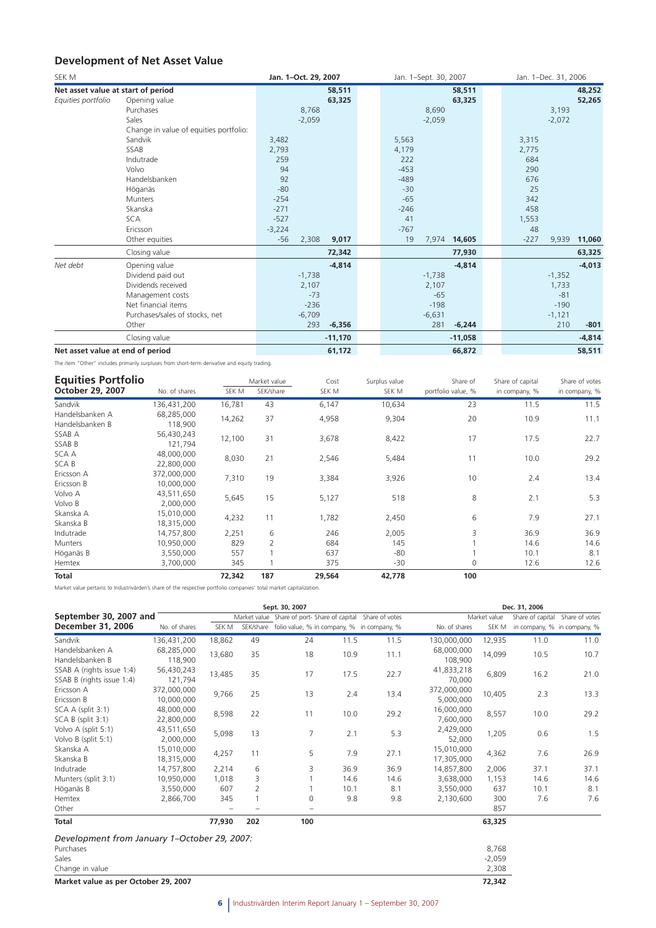# **Development of Net Asset Value**

| SEK M                              |                                        | Jan. 1-Oct. 29, 2007 |           | Jan. 1-Sept. 30, 2007 |        |          | Jan. 1-Dec. 31, 2006 |        |          |          |
|------------------------------------|----------------------------------------|----------------------|-----------|-----------------------|--------|----------|----------------------|--------|----------|----------|
| Net asset value at start of period |                                        |                      | 58,511    |                       |        |          | 58,511               |        |          | 48,252   |
| Equities portfolio                 | Opening value                          |                      | 63,325    |                       |        |          | 63,325               |        |          | 52,265   |
|                                    | Purchases                              | 8,768                |           |                       |        | 8,690    |                      |        | 3,193    |          |
|                                    | Sales                                  | $-2,059$             |           |                       |        | $-2,059$ |                      |        | $-2,072$ |          |
|                                    | Change in value of equities portfolio: |                      |           |                       |        |          |                      |        |          |          |
|                                    | Sandvik                                | 3,482                |           |                       | 5,563  |          |                      | 3,315  |          |          |
|                                    | SSAB                                   | 2,793                |           |                       | 4,179  |          |                      | 2,775  |          |          |
|                                    | Indutrade                              | 259                  |           |                       | 222    |          |                      | 684    |          |          |
|                                    | Volvo                                  | 94                   |           |                       | $-453$ |          |                      | 290    |          |          |
|                                    | Handelsbanken                          | 92                   |           |                       | $-489$ |          |                      | 676    |          |          |
|                                    | Höganäs                                | $-80$                |           |                       | $-30$  |          |                      | 25     |          |          |
|                                    | <b>Munters</b>                         | $-254$               |           |                       | $-65$  |          |                      | 342    |          |          |
|                                    | Skanska                                | $-271$               |           |                       | $-246$ |          |                      | 458    |          |          |
|                                    | <b>SCA</b>                             | $-527$               |           |                       | 41     |          |                      | 1,553  |          |          |
|                                    | Ericsson                               | $-3,224$             |           |                       | $-767$ |          |                      | 48     |          |          |
|                                    | Other equities                         | $-56$<br>2,308       | 9,017     |                       | 19     |          | 7,974 14,605         | $-227$ | 9,939    | 11,060   |
|                                    | Closing value                          |                      | 72,342    |                       |        |          | 77,930               |        |          | 63,325   |
| Net debt                           | Opening value                          |                      | $-4,814$  |                       |        |          | $-4,814$             |        |          | $-4,013$ |
|                                    | Dividend paid out                      | $-1,738$             |           |                       |        | $-1,738$ |                      |        | $-1,352$ |          |
|                                    | Dividends received                     | 2,107                |           |                       |        | 2,107    |                      |        | 1,733    |          |
|                                    | Management costs                       | $-73$                |           |                       |        | $-65$    |                      |        | $-81$    |          |
|                                    | Net financial items                    | $-236$               |           |                       |        | $-198$   |                      |        | $-190$   |          |
|                                    | Purchases/sales of stocks, net         | $-6,709$             |           |                       |        | $-6,631$ |                      |        | $-1,121$ |          |
|                                    | Other                                  | 293                  | $-6,356$  |                       |        | 281      | $-6,244$             |        | 210      | $-801$   |
|                                    | Closing value                          |                      | $-11,170$ |                       |        |          | $-11,058$            |        |          | $-4,814$ |
| Net asset value at end of period   |                                        |                      | 61,172    |                       |        |          | 66,872               |        |          | 58,511   |

The item "Other" includes primarily surpluses from short-term derivative and equity trading.

| <b>Equities Portfolio</b> |               |        | Market value   | Cost   | Surplus value | Share of           | Share of capital | Share of votes |
|---------------------------|---------------|--------|----------------|--------|---------------|--------------------|------------------|----------------|
| October 29, 2007          | No. of shares | SEK M  | SEK/share      | SEK M  | SEK M         | portfolio value, % | in company, %    | in company, %  |
| Sandvik                   | 136,431,200   | 16,781 | 43             | 6,147  | 10,634        | 23                 | 11.5             | 11.5           |
| Handelsbanken A           | 68,285,000    | 14,262 | 37             | 4,958  | 9,304         | 20                 | 10.9             | 11.1           |
| Handelsbanken B           | 118,900       |        |                |        |               |                    |                  |                |
| SSAB A                    | 56,430,243    | 12,100 | 31             | 3,678  | 8,422         | 17                 | 17.5             | 22.7           |
| SSAB B                    | 121.794       |        |                |        |               |                    |                  |                |
| <b>SCAA</b>               | 48,000,000    | 8,030  | 21             | 2,546  | 5,484         | 11                 | 10.0             | 29.2           |
| <b>SCAB</b>               | 22,800,000    |        |                |        |               |                    |                  |                |
| Ericsson A                | 372,000,000   | 7,310  | 19             | 3,384  | 3,926         | 10                 | 2.4              | 13.4           |
| Ericsson B                | 10,000,000    |        |                |        |               |                    |                  |                |
| Volvo A                   | 43,511,650    | 5,645  | 15             | 5,127  | 518           | 8                  | 2.1              | 5.3            |
| Volvo B                   | 2,000,000     |        |                |        |               |                    |                  |                |
| Skanska A                 | 15,010,000    | 4,232  | 11             | 1,782  | 2,450         | 6                  | 7.9              | 27.1           |
| Skanska B                 | 18,315,000    |        |                |        |               |                    |                  |                |
| Indutrade                 | 14,757,800    | 2,251  | 6              | 246    | 2,005         | 3                  | 36.9             | 36.9           |
| Munters                   | 10,950,000    | 829    | $\overline{2}$ | 684    | 145           |                    | 14.6             | 14.6           |
| Höganäs B                 | 3,550,000     | 557    |                | 637    | $-80$         |                    | 10.1             | 8.1            |
| Hemtex                    | 3,700,000     | 345    |                | 375    | $-30$         | $\mathbf 0$        | 12.6             | 12.6           |
| <b>Total</b>              |               | 72,342 | 187            | 29,564 | 42,778        | 100                |                  |                |

Market value pertains to Industrivärden's share of the respective portfolio companies' total market capitalization.

|                                                                                       |                           |        |                | Sept. 30, 2007                                             |      |      |                          |                            | Dec. 31, 2006 |                                 |
|---------------------------------------------------------------------------------------|---------------------------|--------|----------------|------------------------------------------------------------|------|------|--------------------------|----------------------------|---------------|---------------------------------|
| September 30, 2007 and                                                                |                           |        |                | Market value Share of port-Share of capital Share of votes |      |      |                          | Market value               |               | Share of capital Share of votes |
| December 31, 2006                                                                     | No. of shares             | SEK M  |                | SEK/share folio value, % in company, % in company, %       |      |      | No. of shares            | SEK M                      |               | in company, % in company, %     |
| Sandvik                                                                               | 136,431,200               | 18,862 | 49             | 24                                                         | 11.5 | 11.5 | 130,000,000              | 12,935                     | 11.0          | 11.0                            |
| Handelsbanken A<br>Handelsbanken B                                                    | 68,285,000<br>118,900     | 13,680 | 35             | 18                                                         | 10.9 | 11.1 | 68,000,000<br>108,900    | 14,099                     | 10.5          | 10.7                            |
| SSAB A (rights issue 1:4)<br>SSAB B (rights issue 1:4)                                | 56,430,243<br>121,794     | 13,485 | 35             | 17                                                         | 17.5 | 22.7 | 41,833,218<br>70,000     | 6,809                      | 16.2          | 21.0                            |
| Ericsson A<br>Ericsson B                                                              | 372,000,000<br>10,000,000 | 9,766  | 25             | 13                                                         | 2.4  | 13.4 | 372,000,000<br>5,000,000 | 10,405                     | 2.3           | 13.3                            |
| SCA A (split 3:1)<br>$SCA B$ (split $3:1$ )                                           | 48,000,000<br>22,800,000  | 8,598  | 22             | 11                                                         | 10.0 | 29.2 | 16,000,000<br>7,600,000  | 8,557                      | 10.0          | 29.2                            |
| Volvo A (split 5:1)<br>Volvo B (split 5:1)                                            | 43,511,650<br>2,000,000   | 5,098  | 13             | 7                                                          | 2.1  | 5.3  | 2,429,000<br>52,000      | 1,205                      | 0.6           | 1.5                             |
| Skanska A<br>Skanska B                                                                | 15,010,000<br>18,315,000  | 4,257  | 11             | 5                                                          | 7.9  | 27.1 | 15,010,000<br>17,305,000 | 4,362                      | 7.6           | 26.9                            |
| Indutrade                                                                             | 14,757,800                | 2,214  | 6              | 3                                                          | 36.9 | 36.9 | 14,857,800               | 2,006                      | 37.1          | 37.1                            |
| Munters (split 3:1)                                                                   | 10,950,000                | 1,018  | 3              |                                                            | 14.6 | 14.6 | 3,638,000                | 1,153                      | 14.6          | 14.6                            |
| Höganäs B                                                                             | 3,550,000                 | 607    | $\overline{2}$ |                                                            | 10.1 | 8.1  | 3,550,000                | 637                        | 10.1          | 8.1                             |
| Hemtex<br>Other                                                                       | 2,866,700                 | 345    |                | 0<br>$\overline{\phantom{0}}$                              | 9.8  | 9.8  | 2,130,600                | 300<br>857                 | 7.6           | 7.6                             |
| Total                                                                                 |                           | 77,930 | 202            | 100                                                        |      |      |                          | 63,325                     |               |                                 |
| Development from January 1–October 29, 2007:<br>Purchases<br>Sales<br>Change in value |                           |        |                |                                                            |      |      |                          | 8,768<br>$-2,059$<br>2,308 |               |                                 |
| Market value as per October 29, 2007                                                  |                           |        |                |                                                            |      |      |                          | 72,342                     |               |                                 |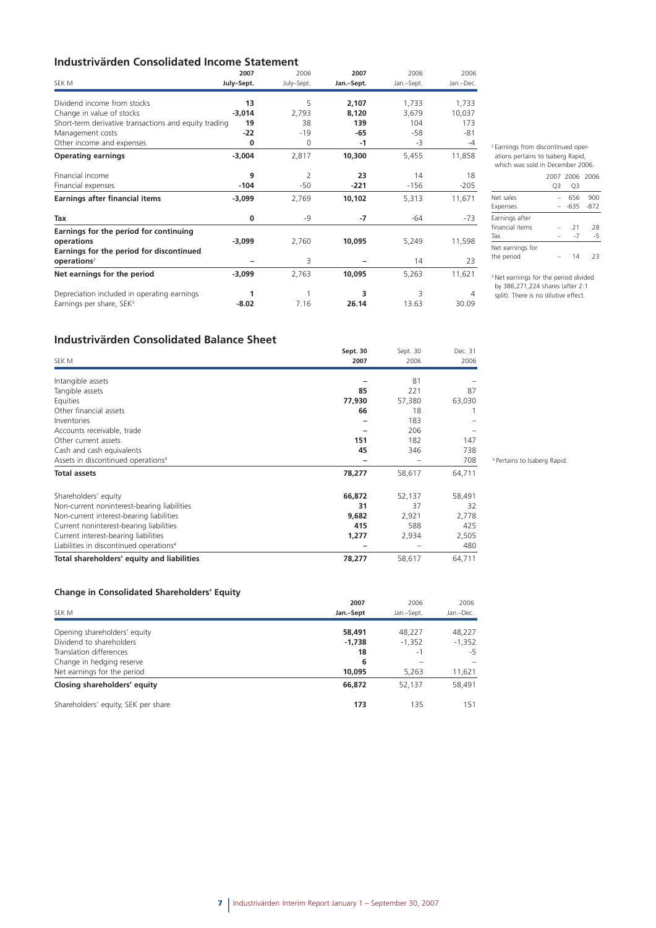# **Industrivärden Consolidated Income Statement**

|                                                       | 2007       | 2006           | 2007       | 2006       | 2006      |
|-------------------------------------------------------|------------|----------------|------------|------------|-----------|
| SEK M                                                 | July-Sept. | July-Sept.     | Jan.-Sept. | Jan.-Sept. | Jan.-Dec. |
| Dividend income from stocks                           | 13         | 5              | 2,107      | 1,733      | 1,733     |
| Change in value of stocks                             | $-3,014$   | 2,793          | 8,120      | 3,679      | 10,037    |
| Short-term derivative transactions and equity trading | 19         | 38             | 139        | 104        | 173       |
| Management costs                                      | $-22$      | $-19$          | $-65$      | -58        | $-81$     |
| Other income and expenses                             | 0          | 0              | $-1$       | -3         | $-4$      |
| <b>Operating earnings</b>                             | $-3,004$   | 2,817          | 10,300     | 5,455      | 11,858    |
| Financial income                                      | 9          | $\overline{2}$ | 23         | 14         | 18        |
| Financial expenses                                    | $-104$     | $-50$          | $-221$     | $-156$     | $-205$    |
| <b>Earnings after financial items</b>                 | $-3,099$   | 2,769          | 10,102     | 5,313      | 11,671    |
| Tax                                                   | 0          | -9             | $-7$       | $-64$      | $-73$     |
| Earnings for the period for continuing                |            |                |            |            |           |
| operations                                            | $-3,099$   | 2,760          | 10,095     | 5,249      | 11,598    |
| Earnings for the period for discontinued              |            |                |            |            |           |
| operations <sup>2</sup>                               |            | 3              |            | 14         | 23        |
| Net earnings for the period                           | $-3,099$   | 2,763          | 10,095     | 5,263      | 11,621    |
| Depreciation included in operating earnings           | 1          |                | 3          | 3          | 4         |
| Earnings per share, SEK <sup>3</sup>                  | $-8.02$    | 7.16           | 26.14      | 13.63      | 30.09     |

2 Earnings from discontinued operations pertains to Isaberg Rapid, which was sold in December 2006.

#### 2007 2006 2006 Q3 Q3 Net sales – 656 900 Expenses – -635 -872 Earnings after financial items – 21 28 Tax  $-7 -5$ Net earnings for the period – 14 23

<sup>3</sup> Net earnings for the period divided by 386,271,224 shares (after 2:1 split). There is no dilutive effect.

# **Industrivärden Consolidated Balance Sheet**

|                                                     | Sept. 30 | Sept. 30 | Dec. 31 |
|-----------------------------------------------------|----------|----------|---------|
| SEK M                                               | 2007     | 2006     | 2006    |
| Intangible assets                                   |          | 81       |         |
| Tangible assets                                     | 85       | 221      | 87      |
| Equities                                            | 77,930   | 57,380   | 63,030  |
| Other financial assets                              | 66       | 18       |         |
| Inventories                                         |          | 183      |         |
| Accounts receivable, trade                          |          | 206      |         |
| Other current assets                                | 151      | 182      | 147     |
| Cash and cash equivalents                           | 45       | 346      | 738     |
| Assets in discontinued operations <sup>4</sup>      |          |          | 708     |
| <b>Total assets</b>                                 | 78,277   | 58,617   | 64,711  |
| Shareholders' equity                                | 66,872   | 52,137   | 58,491  |
| Non-current noninterest-bearing liabilities         | 31       | 37       | 32      |
| Non-current interest-bearing liabilities            | 9,682    | 2,921    | 2,778   |
| Current noninterest-bearing liabilities             | 415      | 588      | 425     |
| Current interest-bearing liabilities                | 1,277    | 2,934    | 2,505   |
| Liabilities in discontinued operations <sup>4</sup> |          |          | 480     |
| Total shareholders' equity and liabilities          | 78,277   | 58,617   | 64,711  |

### **Change in Consolidated Shareholders' Equity**

|                                     | 2007      | 2006       | 2006      |  |
|-------------------------------------|-----------|------------|-----------|--|
| SEK M                               | Jan.-Sept | Jan.-Sept. | Jan.-Dec. |  |
|                                     |           |            |           |  |
| Opening shareholders' equity        | 58,491    | 48.227     | 48,227    |  |
| Dividend to shareholders            | $-1,738$  | $-1,352$   | $-1,352$  |  |
| Translation differences             | 18        | -1         | -5        |  |
| Change in hedging reserve           | 6         |            |           |  |
| Net earnings for the period         | 10,095    | 5,263      | 11,621    |  |
| Closing shareholders' equity        | 66,872    | 52,137     | 58,491    |  |
| Shareholders' equity, SEK per share | 173       | 135        | 151       |  |

4 Pertains to Isaberg Rapid.